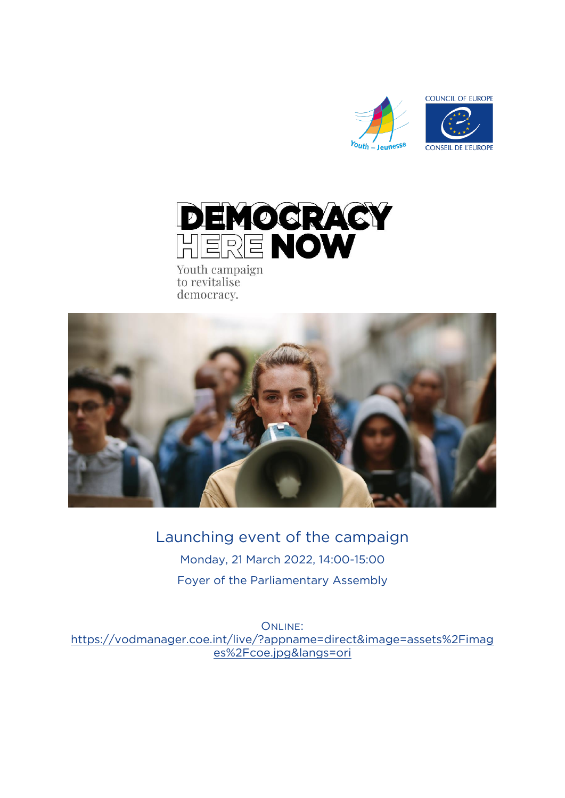



Youth campaign to revitalise democracy.



**Launching event of the campaign Monday, 21 March 2022, 14:00-15:00 Foyer of the Parliamentary Assembly**

ONLINE:<br>https://vodmanager.coe.int/live/?appname=direct&image=assets%2Fimag **https://volume=assets.com/live/2Figure-assets.com/live/2Figure-assets/2Figure-assets/2Figure-assets/2Figure-assets/2Figure-assets/2Figure-assets/2Figure-assets/2Figure-assets/2Figure-assets/2Figure-assets/2Figure-assets/2 essex 2Fcoe.jpg**